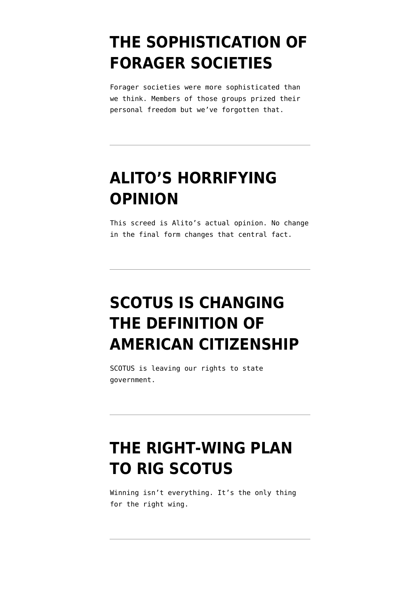# **[THE SOPHISTICATION OF](https://www.emptywheel.net/2022/06/15/the-sophistication-of-forager-societies/) [FORAGER SOCIETIES](https://www.emptywheel.net/2022/06/15/the-sophistication-of-forager-societies/)**

Forager societies were more sophisticated than we think. Members of those groups prized their personal freedom but we've forgotten that.

# **[ALITO'S HORRIFYING](https://www.emptywheel.net/2022/05/07/alitos-horrifying-opinion/) [OPINION](https://www.emptywheel.net/2022/05/07/alitos-horrifying-opinion/)**

This screed is Alito's actual opinion. No change in the final form changes that central fact.

# **[SCOTUS IS CHANGING](https://www.emptywheel.net/2022/05/02/scotus-is-changing-the-definition-of-american-citizenship/) [THE DEFINITION OF](https://www.emptywheel.net/2022/05/02/scotus-is-changing-the-definition-of-american-citizenship/) [AMERICAN CITIZENSHIP](https://www.emptywheel.net/2022/05/02/scotus-is-changing-the-definition-of-american-citizenship/)**

SCOTUS is leaving our rights to state government.

### **[THE RIGHT-WING PLAN](https://www.emptywheel.net/2022/03/30/the-right-wing-plan-to-rig-scotus/) [TO RIG SCOTUS](https://www.emptywheel.net/2022/03/30/the-right-wing-plan-to-rig-scotus/)**

Winning isn't everything. It's the only thing for the right wing.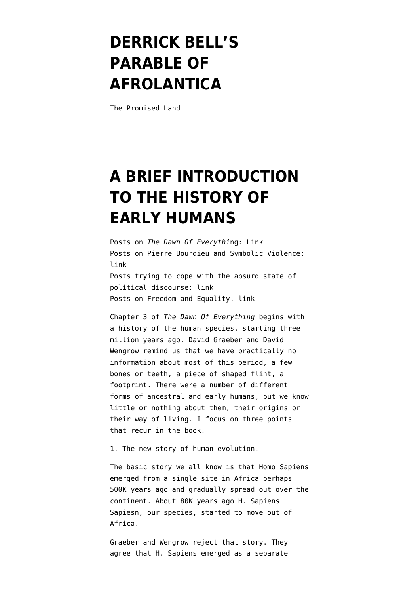# **[DERRICK BELL'S](https://www.emptywheel.net/2022/03/26/derrick-bells-parable-of-afrolantica/) [PARABLE OF](https://www.emptywheel.net/2022/03/26/derrick-bells-parable-of-afrolantica/) [AFROLANTICA](https://www.emptywheel.net/2022/03/26/derrick-bells-parable-of-afrolantica/)**

The Promised Land

# **[A BRIEF INTRODUCTION](https://www.emptywheel.net/2022/03/16/a-brief-introduction-to-the-history-of-early-humans/) [TO THE HISTORY OF](https://www.emptywheel.net/2022/03/16/a-brief-introduction-to-the-history-of-early-humans/) [EARLY HUMANS](https://www.emptywheel.net/2022/03/16/a-brief-introduction-to-the-history-of-early-humans/)**

Posts on *The Dawn Of Everythi*ng: [Link](https://www.emptywheel.net/2022/01/12/introduction-and-index-to-new-series-on-the-dawn-of-everything/) Posts on Pierre Bourdieu and Symbolic Violence: [link](https://www.emptywheel.net/2018/01/20/symbolic-violence-in-neoliberalism/) Posts trying to cope with the absurd state of political discourse: [link](https://www.emptywheel.net/2021/07/09/introduction-to-new-series-index-and-bibliography/) Posts on Freedom and Equality. [link](https://www.emptywheel.net/2019/06/29/freedom-and-inequality-introduction-and-index/)

Chapter 3 of *The Dawn Of Everything* begins with a history of the human species, starting three million years ago. David Graeber and David Wengrow remind us that we have practically no information about most of this period, a few bones or teeth, a piece of shaped flint, a footprint. There were a number of different forms of ancestral and early humans, but we know little or nothing about them, their origins or their way of living. I focus on three points that recur in the book.

1. The new story of human evolution.

The basic story we all know is that Homo Sapiens emerged from a single site in Africa perhaps 500K years ago and gradually spread out over the continent. About 80K years ago H. Sapiens Sapiesn, our species, started to move out of Africa.

Graeber and Wengrow reject that story. They agree that H. Sapiens emerged as a separate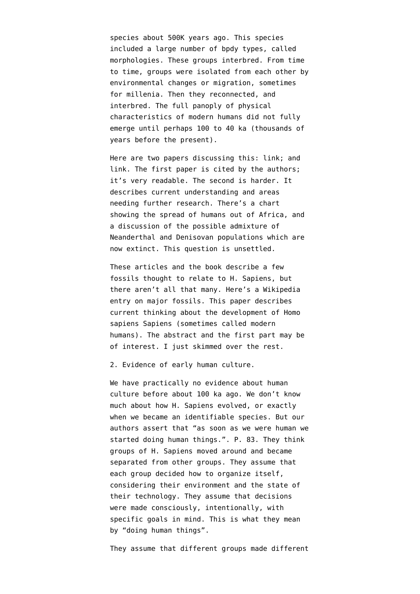species about 500K years ago. This species included a large number of bpdy types, called morphologies. These groups interbred. From time to time, groups were isolated from each other by environmental changes or migration, sometimes for millenia. Then they reconnected, and interbred. The full panoply of physical characteristics of modern humans did not fully emerge until perhaps 100 to 40 ka (thousands of years before the present).

Here are two papers discussing this: [link;](https://socialistincanada.ca/wp-content/uploads/2018/05/Origin-of-our-species.pdf) and [link](https://www.sciencedirect.com/science/article/pii/S0169534718301174). The first paper is cited by the authors; it's very readable. The second is harder. It describes current understanding and areas needing further research. There's a chart showing the spread of humans out of Africa, and a discussion of the possible admixture of Neanderthal and Denisovan populations which are now extinct. This question is [unsettled.](https://www.ncbi.nlm.nih.gov/labs/pmc/articles/PMC2409102/)

These articles and the book describe a few fossils thought to relate to H. Sapiens, but there aren't all that many. [Here's](https://en.wikipedia.org/wiki/List_of_human_evolution_fossils) a Wikipedia entry on major fossils. [This paper](https://www.ncbi.nlm.nih.gov/labs/pmc/articles/PMC2409102/) describes current thinking about the development of Homo sapiens Sapiens (sometimes called modern humans). The abstract and the first part may be of interest. I just skimmed over the rest.

2. Evidence of early human culture.

We have practically no evidence about human culture before about 100 ka ago. We don't know much about how H. Sapiens evolved, or exactly when we became an identifiable species. But our authors assert that "as soon as we were human we started doing human things.". P. 83. They think groups of H. Sapiens moved around and became separated from other groups. They assume that each group decided how to organize itself, considering their environment and the state of their technology. They assume that decisions were made consciously, intentionally, with specific goals in mind. This is what they mean by "doing human things".

They assume that different groups made different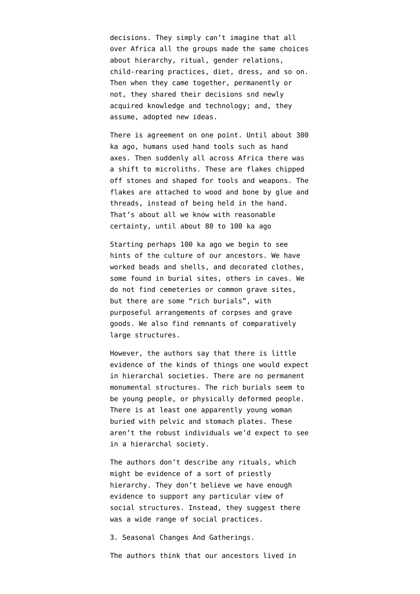decisions. They simply can't imagine that all over Africa all the groups made the same choices about hierarchy, ritual, gender relations, child-rearing practices, diet, dress, and so on. Then when they came together, permanently or not, they shared their decisions snd newly acquired knowledge and technology; and, they assume, adopted new ideas.

There is agreement on one point. Until about 300 ka ago, humans used hand tools such as hand axes. Then suddenly all across Africa there was a shift to microliths. These are flakes chipped off stones and shaped for tools and weapons. The flakes are attached to wood and bone by glue and threads, instead of being held in the hand. That's about all we know with reasonable certainty, until about 80 to 100 ka ago

Starting perhaps 100 ka ago we begin to see hints of the culture of our ancestors. We have worked beads and shells, and decorated clothes, some found in burial sites, others in caves. We do not find cemeteries or common grave sites, but there are some "rich burials", with purposeful arrangements of corpses and grave goods. We also find remnants of comparatively large structures.

However, the authors say that there is little evidence of the kinds of things one would expect in hierarchal societies. There are no permanent monumental structures. The rich burials seem to be young people, or physically deformed people. There is at least one apparently young woman buried with pelvic and stomach plates. These aren't the robust individuals we'd expect to see in a hierarchal society.

The authors don't describe any rituals, which might be evidence of a sort of priestly hierarchy. They don't believe we have enough evidence to support any particular view of social structures. Instead, they suggest there was a wide range of social practices.

3. Seasonal Changes And Gatherings.

The authors think that our ancestors lived in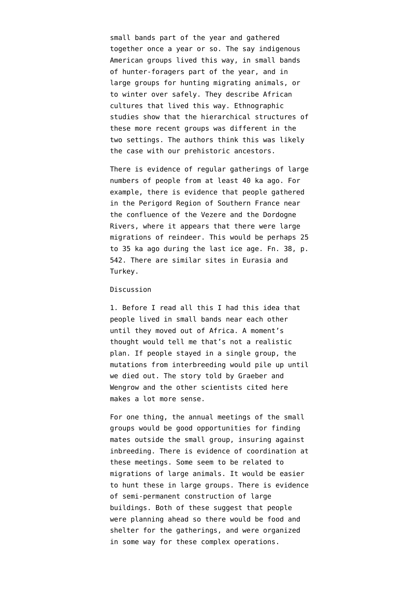small bands part of the year and gathered together once a year or so. The say indigenous American groups lived this way, in small bands of hunter-foragers part of the year, and in large groups for hunting migrating animals, or to winter over safely. They describe African cultures that lived this way. Ethnographic studies show that the hierarchical structures of these more recent groups was different in the two settings. The authors think this was likely the case with our prehistoric ancestors.

There is evidence of regular gatherings of large numbers of people from at least 40 ka ago. For example, there is evidence that people gathered in the Perigord Region of Southern France near the confluence of the Vezere and the Dordogne Rivers, where it appears that there were large migrations of reindeer. This would be perhaps 25 to 35 ka ago during the last ice age. Fn. 38, p. 542. There are similar sites in Eurasia and Turkey.

#### Discussion

1. Before I read all this I had this idea that people lived in small bands near each other until they moved out of Africa. A moment's thought would tell me that's not a realistic plan. If people stayed in a single group, the mutations from interbreeding would pile up until we died out. The story told by Graeber and Wengrow and the other scientists cited here makes a lot more sense.

For one thing, the annual meetings of the small groups would be good opportunities for finding mates outside the small group, insuring against inbreeding. There is evidence of coordination at these meetings. Some seem to be related to migrations of large animals. It would be easier to hunt these in large groups. There is evidence of semi-permanent construction of large buildings. Both of these suggest that people were planning ahead so there would be food and shelter for the gatherings, and were organized in some way for these complex operations.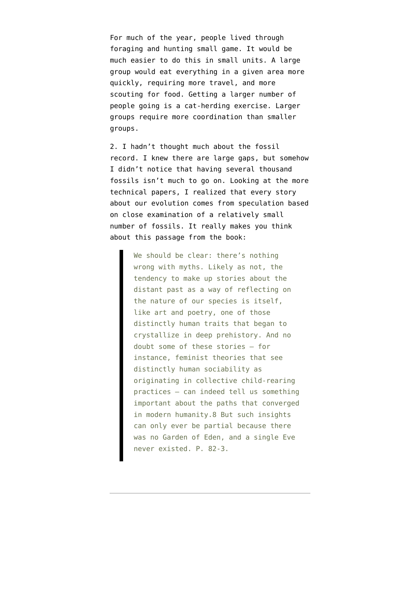For much of the year, people lived through foraging and hunting small game. It would be much easier to do this in small units. A large group would eat everything in a given area more quickly, requiring more travel, and more scouting for food. Getting a larger number of people going is a cat-herding exercise. Larger groups require more coordination than smaller groups.

2. I hadn't thought much about the fossil record. I knew there are large gaps, but somehow I didn't notice that having several thousand fossils isn't much to go on. Looking at the more technical papers, I realized that every story about our evolution comes from speculation based on close examination of a relatively small number of fossils. It really makes you think about this passage from the book:

> We should be clear: there's nothing wrong with myths. Likely as not, the tendency to make up stories about the distant past as a way of reflecting on the nature of our species is itself, like art and poetry, one of those distinctly human traits that began to crystallize in deep prehistory. And no doubt some of these stories – for instance, feminist theories that see distinctly human sociability as originating in collective child-rearing practices – can indeed tell us something important about the paths that converged in modern humanity.8 But such insights can only ever be partial because there was no Garden of Eden, and a single Eve never existed. P. 82-3.